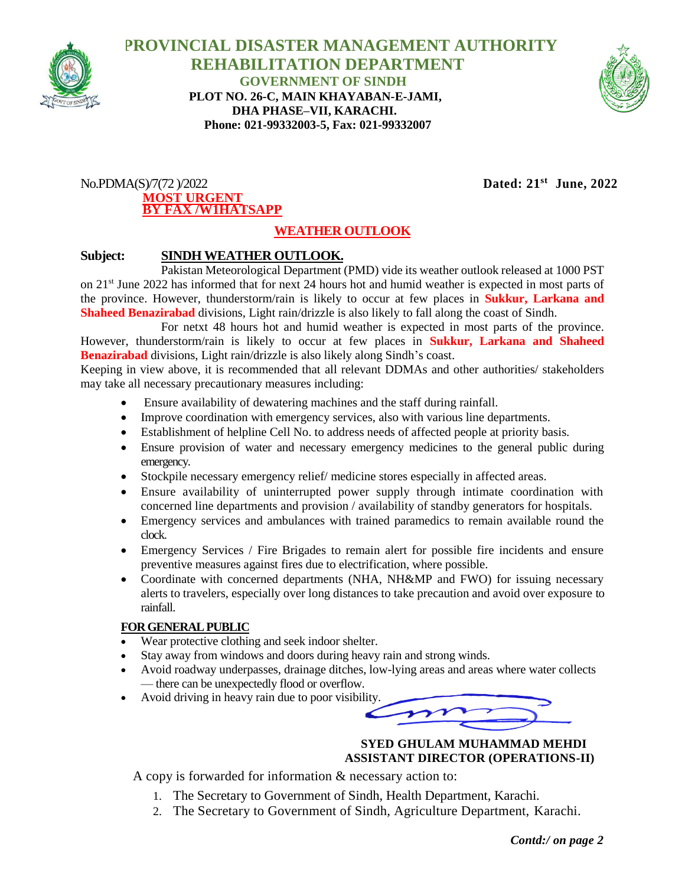

 **PROVINCIAL DISASTER MANAGEMENT AUTHORITY REHABILITATION DEPARTMENT GOVERNMENT OF SINDH PLOT NO. 26-C, MAIN KHAYABAN-E-JAMI, DHA PHASE–VII, KARACHI. Phone: 021-99332003-5, Fax: 021-99332007**



#### $No.PDMA(S)/7(72)/2022$ **MOST URGENT BY FAX /W1HATSAPP**

 **June, 2022**

# **WEATHER OUTLOOK**

### **Subject: SINDH WEATHER OUTLOOK.**

Pakistan Meteorological Department (PMD) vide its weather outlook released at 1000 PST on 21st June 2022 has informed that for next 24 hours hot and humid weather is expected in most parts of the province. However, thunderstorm/rain is likely to occur at few places in **Sukkur, Larkana and Shaheed Benazirabad** divisions, Light rain/drizzle is also likely to fall along the coast of Sindh.

For netxt 48 hours hot and humid weather is expected in most parts of the province. However, thunderstorm/rain is likely to occur at few places in **Sukkur, Larkana and Shaheed Benazirabad** divisions, Light rain/drizzle is also likely along Sindh's coast.

Keeping in view above, it is recommended that all relevant DDMAs and other authorities/ stakeholders may take all necessary precautionary measures including:

- Ensure availability of dewatering machines and the staff during rainfall.
- Improve coordination with emergency services, also with various line departments.
- Establishment of helpline Cell No. to address needs of affected people at priority basis.
- Ensure provision of water and necessary emergency medicines to the general public during emergency.
- Stockpile necessary emergency relief/ medicine stores especially in affected areas.
- Ensure availability of uninterrupted power supply through intimate coordination with concerned line departments and provision / availability of standby generators for hospitals.
- Emergency services and ambulances with trained paramedics to remain available round the clock.
- Emergency Services / Fire Brigades to remain alert for possible fire incidents and ensure preventive measures against fires due to electrification, where possible.
- Coordinate with concerned departments (NHA, NH&MP and FWO) for issuing necessary alerts to travelers, especially over long distances to take precaution and avoid over exposure to rainfall.

#### **FOR GENERAL PUBLIC**

- Wear protective clothing and seek indoor shelter.
- Stay away from windows and doors during heavy rain and strong winds.
- Avoid roadway underpasses, drainage ditches, low-lying areas and areas where water collects — there can be unexpectedly flood or overflow.
- Avoid driving in heavy rain due to poor visibility.

 **SYED GHULAM MUHAMMAD MEHDI ASSISTANT DIRECTOR (OPERATIONS-II)**

A copy is forwarded for information & necessary action to:

- 1. The Secretary to Government of Sindh, Health Department, Karachi.
- 2. The Secretary to Government of Sindh, Agriculture Department, Karachi.